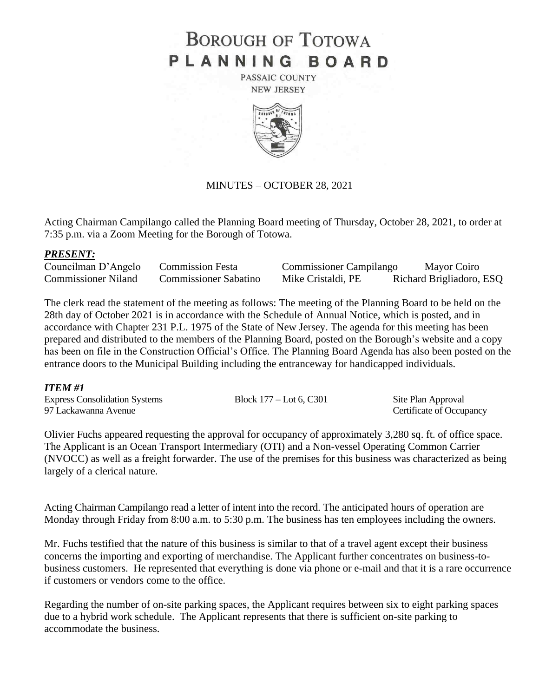# **BOROUGH OF TOTOWA** PLANNING BOARD

PASSAIC COUNTY **NEW JERSEY** 



### MINUTES – OCTOBER 28, 2021

Acting Chairman Campilango called the Planning Board meeting of Thursday, October 28, 2021, to order at 7:35 p.m. via a Zoom Meeting for the Borough of Totowa.

### *PRESENT:*

Councilman D'Angelo Commission Festa Commissioner Campilango Mayor Coiro Commissioner Niland Commissioner Sabatino Mike Cristaldi, PE Richard Brigliadoro, ESQ

The clerk read the statement of the meeting as follows: The meeting of the Planning Board to be held on the 28th day of October 2021 is in accordance with the Schedule of Annual Notice, which is posted, and in accordance with Chapter 231 P.L. 1975 of the State of New Jersey. The agenda for this meeting has been prepared and distributed to the members of the Planning Board, posted on the Borough's website and a copy has been on file in the Construction Official's Office. The Planning Board Agenda has also been posted on the entrance doors to the Municipal Building including the entranceway for handicapped individuals.

### *ITEM #1*

| <b>Express Consolidation Systems</b> | Block $177 -$ Lot 6, C301 | Site Plan Approval       |
|--------------------------------------|---------------------------|--------------------------|
| 97 Lackawanna Avenue                 |                           | Certificate of Occupancy |

Olivier Fuchs appeared requesting the approval for occupancy of approximately 3,280 sq. ft. of office space. The Applicant is an Ocean Transport Intermediary (OTI) and a Non-vessel Operating Common Carrier (NVOCC) as well as a freight forwarder. The use of the premises for this business was characterized as being largely of a clerical nature.

Acting Chairman Campilango read a letter of intent into the record. The anticipated hours of operation are Monday through Friday from 8:00 a.m. to 5:30 p.m. The business has ten employees including the owners.

Mr. Fuchs testified that the nature of this business is similar to that of a travel agent except their business concerns the importing and exporting of merchandise. The Applicant further concentrates on business-tobusiness customers. He represented that everything is done via phone or e-mail and that it is a rare occurrence if customers or vendors come to the office.

Regarding the number of on-site parking spaces, the Applicant requires between six to eight parking spaces due to a hybrid work schedule. The Applicant represents that there is sufficient on-site parking to accommodate the business.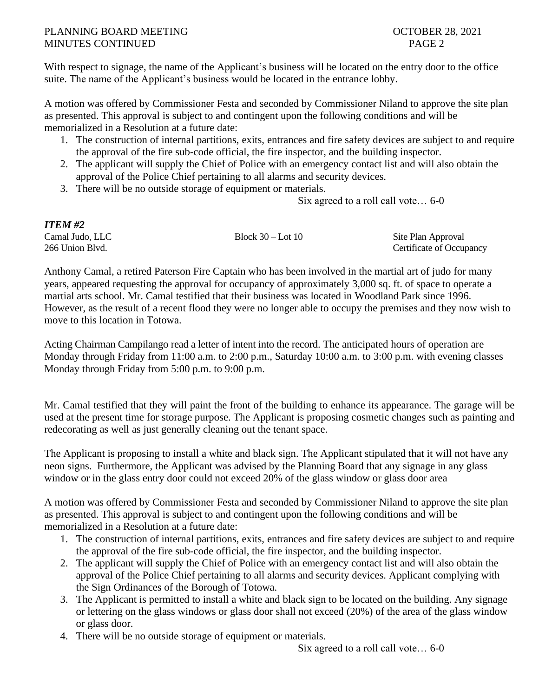# PLANNING BOARD MEETING **DEEPING COLLEGER 28, 2021** MINUTES CONTINUED PAGE 2

With respect to signage, the name of the Applicant's business will be located on the entry door to the office suite. The name of the Applicant's business would be located in the entrance lobby.

A motion was offered by Commissioner Festa and seconded by Commissioner Niland to approve the site plan as presented. This approval is subject to and contingent upon the following conditions and will be memorialized in a Resolution at a future date:

- 1. The construction of internal partitions, exits, entrances and fire safety devices are subject to and require the approval of the fire sub-code official, the fire inspector, and the building inspector.
- 2. The applicant will supply the Chief of Police with an emergency contact list and will also obtain the approval of the Police Chief pertaining to all alarms and security devices.
- 3. There will be no outside storage of equipment or materials.

Six agreed to a roll call vote… 6-0

| <b>ITEM #2</b>  |                     |                          |
|-----------------|---------------------|--------------------------|
| Camal Judo, LLC | Block $30 -$ Lot 10 | Site Plan Approval       |
| 266 Union Blvd. |                     | Certificate of Occupancy |

Anthony Camal, a retired Paterson Fire Captain who has been involved in the martial art of judo for many years, appeared requesting the approval for occupancy of approximately 3,000 sq. ft. of space to operate a martial arts school. Mr. Camal testified that their business was located in Woodland Park since 1996. However, as the result of a recent flood they were no longer able to occupy the premises and they now wish to move to this location in Totowa.

Acting Chairman Campilango read a letter of intent into the record. The anticipated hours of operation are Monday through Friday from 11:00 a.m. to 2:00 p.m., Saturday 10:00 a.m. to 3:00 p.m. with evening classes Monday through Friday from 5:00 p.m. to 9:00 p.m.

Mr. Camal testified that they will paint the front of the building to enhance its appearance. The garage will be used at the present time for storage purpose. The Applicant is proposing cosmetic changes such as painting and redecorating as well as just generally cleaning out the tenant space.

The Applicant is proposing to install a white and black sign. The Applicant stipulated that it will not have any neon signs. Furthermore, the Applicant was advised by the Planning Board that any signage in any glass window or in the glass entry door could not exceed 20% of the glass window or glass door area

A motion was offered by Commissioner Festa and seconded by Commissioner Niland to approve the site plan as presented. This approval is subject to and contingent upon the following conditions and will be memorialized in a Resolution at a future date:

- 1. The construction of internal partitions, exits, entrances and fire safety devices are subject to and require the approval of the fire sub-code official, the fire inspector, and the building inspector.
- 2. The applicant will supply the Chief of Police with an emergency contact list and will also obtain the approval of the Police Chief pertaining to all alarms and security devices. Applicant complying with the Sign Ordinances of the Borough of Totowa.
- 3. The Applicant is permitted to install a white and black sign to be located on the building. Any signage or lettering on the glass windows or glass door shall not exceed (20%) of the area of the glass window or glass door.
- 4. There will be no outside storage of equipment or materials.

Six agreed to a roll call vote… 6-0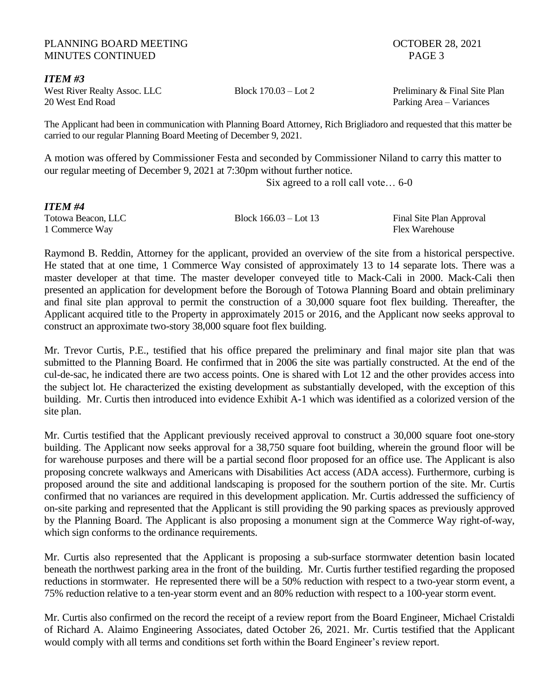#### PLANNING BOARD MEETING **DEEPING COLLEGER** 28, 2021 MINUTES CONTINUED **PAGE 3**

*ITEM #3* 20 West End Road Parking Area – Variances

West River Realty Assoc. LLC Block 170.03 – Lot 2 Preliminary & Final Site Plan

The Applicant had been in communication with Planning Board Attorney, Rich Brigliadoro and requested that this matter be carried to our regular Planning Board Meeting of December 9, 2021.

A motion was offered by Commissioner Festa and seconded by Commissioner Niland to carry this matter to our regular meeting of December 9, 2021 at 7:30pm without further notice.

Six agreed to a roll call vote… 6-0

*ITEM #4* 1 Commerce Way **Flex Warehouse** Flex Warehouse

Totowa Beacon, LLC Block 166.03 – Lot 13 Final Site Plan Approval

Raymond B. Reddin, Attorney for the applicant, provided an overview of the site from a historical perspective. He stated that at one time, 1 Commerce Way consisted of approximately 13 to 14 separate lots. There was a master developer at that time. The master developer conveyed title to Mack-Cali in 2000. Mack-Cali then presented an application for development before the Borough of Totowa Planning Board and obtain preliminary and final site plan approval to permit the construction of a 30,000 square foot flex building. Thereafter, the Applicant acquired title to the Property in approximately 2015 or 2016, and the Applicant now seeks approval to construct an approximate two-story 38,000 square foot flex building.

Mr. Trevor Curtis, P.E., testified that his office prepared the preliminary and final major site plan that was submitted to the Planning Board. He confirmed that in 2006 the site was partially constructed. At the end of the cul-de-sac, he indicated there are two access points. One is shared with Lot 12 and the other provides access into the subject lot. He characterized the existing development as substantially developed, with the exception of this building. Mr. Curtis then introduced into evidence Exhibit A-1 which was identified as a colorized version of the site plan.

Mr. Curtis testified that the Applicant previously received approval to construct a 30,000 square foot one-story building. The Applicant now seeks approval for a 38,750 square foot building, wherein the ground floor will be for warehouse purposes and there will be a partial second floor proposed for an office use. The Applicant is also proposing concrete walkways and Americans with Disabilities Act access (ADA access). Furthermore, curbing is proposed around the site and additional landscaping is proposed for the southern portion of the site. Mr. Curtis confirmed that no variances are required in this development application. Mr. Curtis addressed the sufficiency of on-site parking and represented that the Applicant is still providing the 90 parking spaces as previously approved by the Planning Board. The Applicant is also proposing a monument sign at the Commerce Way right-of-way, which sign conforms to the ordinance requirements.

Mr. Curtis also represented that the Applicant is proposing a sub-surface stormwater detention basin located beneath the northwest parking area in the front of the building. Mr. Curtis further testified regarding the proposed reductions in stormwater. He represented there will be a 50% reduction with respect to a two-year storm event, a 75% reduction relative to a ten-year storm event and an 80% reduction with respect to a 100-year storm event.

Mr. Curtis also confirmed on the record the receipt of a review report from the Board Engineer, Michael Cristaldi of Richard A. Alaimo Engineering Associates, dated October 26, 2021. Mr. Curtis testified that the Applicant would comply with all terms and conditions set forth within the Board Engineer's review report.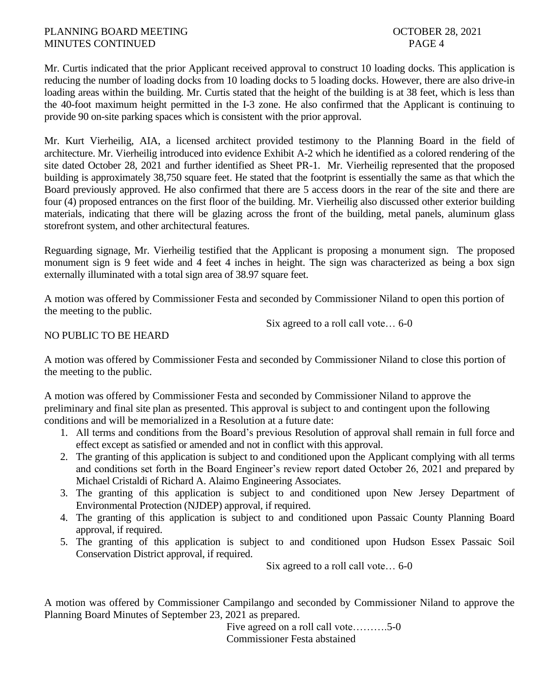# PLANNING BOARD MEETING **DEEPING COLLEGER** 28, 2021 MINUTES CONTINUED PAGE 4

Mr. Curtis indicated that the prior Applicant received approval to construct 10 loading docks. This application is reducing the number of loading docks from 10 loading docks to 5 loading docks. However, there are also drive-in loading areas within the building. Mr. Curtis stated that the height of the building is at 38 feet, which is less than the 40-foot maximum height permitted in the I-3 zone. He also confirmed that the Applicant is continuing to provide 90 on-site parking spaces which is consistent with the prior approval.

Mr. Kurt Vierheilig, AIA, a licensed architect provided testimony to the Planning Board in the field of architecture. Mr. Vierheilig introduced into evidence Exhibit A-2 which he identified as a colored rendering of the site dated October 28, 2021 and further identified as Sheet PR-1. Mr. Vierheilig represented that the proposed building is approximately 38,750 square feet. He stated that the footprint is essentially the same as that which the Board previously approved. He also confirmed that there are 5 access doors in the rear of the site and there are four (4) proposed entrances on the first floor of the building. Mr. Vierheilig also discussed other exterior building materials, indicating that there will be glazing across the front of the building, metal panels, aluminum glass storefront system, and other architectural features.

Reguarding signage, Mr. Vierheilig testified that the Applicant is proposing a monument sign. The proposed monument sign is 9 feet wide and 4 feet 4 inches in height. The sign was characterized as being a box sign externally illuminated with a total sign area of 38.97 square feet.

A motion was offered by Commissioner Festa and seconded by Commissioner Niland to open this portion of the meeting to the public.

Six agreed to a roll call vote… 6-0

# NO PUBLIC TO BE HEARD

A motion was offered by Commissioner Festa and seconded by Commissioner Niland to close this portion of the meeting to the public.

A motion was offered by Commissioner Festa and seconded by Commissioner Niland to approve the preliminary and final site plan as presented. This approval is subject to and contingent upon the following conditions and will be memorialized in a Resolution at a future date:

- 1. All terms and conditions from the Board's previous Resolution of approval shall remain in full force and effect except as satisfied or amended and not in conflict with this approval.
- 2. The granting of this application is subject to and conditioned upon the Applicant complying with all terms and conditions set forth in the Board Engineer's review report dated October 26, 2021 and prepared by Michael Cristaldi of Richard A. Alaimo Engineering Associates.
- 3. The granting of this application is subject to and conditioned upon New Jersey Department of Environmental Protection (NJDEP) approval, if required.
- 4. The granting of this application is subject to and conditioned upon Passaic County Planning Board approval, if required.
- 5. The granting of this application is subject to and conditioned upon Hudson Essex Passaic Soil Conservation District approval, if required.

Six agreed to a roll call vote… 6-0

A motion was offered by Commissioner Campilango and seconded by Commissioner Niland to approve the Planning Board Minutes of September 23, 2021 as prepared.

> Five agreed on a roll call vote……….5-0 Commissioner Festa abstained